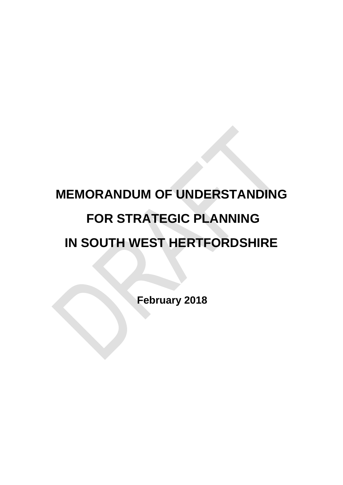# **MEMORANDUM OF UNDERSTANDING FOR STRATEGIC PLANNING IN SOUTH WEST HERTFORDSHIRE**

**February 2018**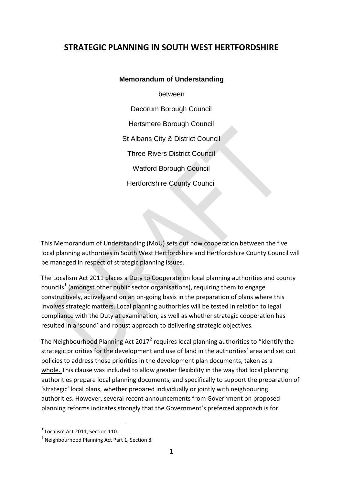### **STRATEGIC PLANNING IN SOUTH WEST HERTFORDSHIRE**

**Memorandum of Understanding** between Dacorum Borough Council Hertsmere Borough Council St Albans City & District Council Three Rivers District Council Watford Borough Council Hertfordshire County Council

This Memorandum of Understanding (MoU) sets out how cooperation between the five local planning authorities in South West Hertfordshire and Hertfordshire County Council will be managed in respect of strategic planning issues.

The Localism Act 2011 places a Duty to Cooperate on local planning authorities and county councils<sup>[1](#page-2-0)</sup> (amongst other public sector organisations), requiring them to engage constructively, actively and on an on-going basis in the preparation of plans where this involves strategic matters. Local planning authorities will be tested in relation to legal compliance with the Duty at examination, as well as whether strategic cooperation has resulted in a 'sound' and robust approach to delivering strategic objectives.

The Neighbourhood Planning Act  $2017<sup>2</sup>$  $2017<sup>2</sup>$  requires local planning authorities to "identify the strategic priorities for the development and use of land in the authorities' area and set out policies to address those priorities in the development plan documents, taken as a whole. This clause was included to allow greater flexibility in the way that local planning authorities prepare local planning documents, and specifically to support the preparation of 'strategic' local plans, whether prepared individually or jointly with neighbouring authorities. However, several recent announcements from Government on proposed planning reforms indicates strongly that the Government's preferred approach is for

-

<span id="page-2-1"></span><span id="page-2-0"></span> $1$  Localism Act 2011, Section 110.<br>
<sup>2</sup> Neighbourhood Planning Act Part 1, Section 8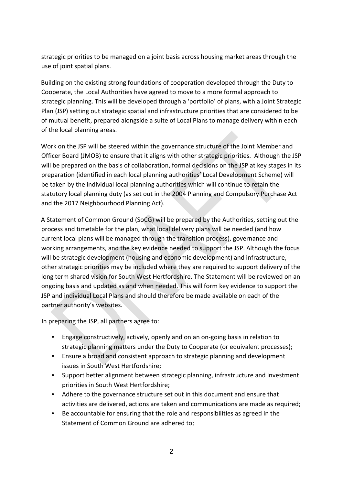strategic priorities to be managed on a joint basis across housing market areas through the use of joint spatial plans.

Building on the existing strong foundations of cooperation developed through the Duty to Cooperate, the Local Authorities have agreed to move to a more formal approach to strategic planning. This will be developed through a 'portfolio' of plans, with a Joint Strategic Plan (JSP) setting out strategic spatial and infrastructure priorities that are considered to be of mutual benefit, prepared alongside a suite of Local Plans to manage delivery within each of the local planning areas.

Work on the JSP will be steered within the governance structure of the Joint Member and Officer Board (JMOB) to ensure that it aligns with other strategic priorities. Although the JSP will be prepared on the basis of collaboration, formal decisions on the JSP at key stages in its preparation (identified in each local planning authorities' Local Development Scheme) will be taken by the individual local planning authorities which will continue to retain the statutory local planning duty (as set out in the 2004 Planning and Compulsory Purchase Act and the 2017 Neighbourhood Planning Act).

A Statement of Common Ground (SoCG) will be prepared by the Authorities, setting out the process and timetable for the plan, what local delivery plans will be needed (and how current local plans will be managed through the transition process), governance and working arrangements, and the key evidence needed to support the JSP. Although the focus will be strategic development (housing and economic development) and infrastructure, other strategic priorities may be included where they are required to support delivery of the long term shared vision for South West Hertfordshire. The Statement will be reviewed on an ongoing basis and updated as and when needed. This will form key evidence to support the JSP and individual Local Plans and should therefore be made available on each of the partner authority's websites.

In preparing the JSP, all partners agree to:

- Engage constructively, actively, openly and on an on-going basis in relation to strategic planning matters under the Duty to Cooperate (or equivalent processes);
- Ensure a broad and consistent approach to strategic planning and development issues in South West Hertfordshire;
- Support better alignment between strategic planning, infrastructure and investment priorities in South West Hertfordshire;
- Adhere to the governance structure set out in this document and ensure that activities are delivered, actions are taken and communications are made as required;
- Be accountable for ensuring that the role and responsibilities as agreed in the Statement of Common Ground are adhered to;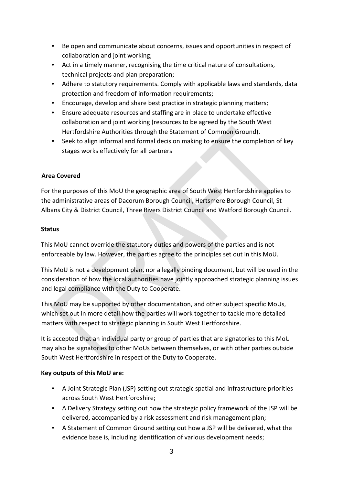- Be open and communicate about concerns, issues and opportunities in respect of collaboration and joint working;
- Act in a timely manner, recognising the time critical nature of consultations, technical projects and plan preparation;
- Adhere to statutory requirements. Comply with applicable laws and standards, data protection and freedom of information requirements;
- Encourage, develop and share best practice in strategic planning matters;
- Ensure adequate resources and staffing are in place to undertake effective collaboration and joint working (resources to be agreed by the South West Hertfordshire Authorities through the Statement of Common Ground).
- Seek to align informal and formal decision making to ensure the completion of key stages works effectively for all partners

#### **Area Covered**

For the purposes of this MoU the geographic area of South West Hertfordshire applies to the administrative areas of Dacorum Borough Council, Hertsmere Borough Council, St Albans City & District Council, Three Rivers District Council and Watford Borough Council.

#### **Status**

This MoU cannot override the statutory duties and powers of the parties and is not enforceable by law. However, the parties agree to the principles set out in this MoU.

This MoU is not a development plan, nor a legally binding document, but will be used in the consideration of how the local authorities have jointly approached strategic planning issues and legal compliance with the Duty to Cooperate.

This MoU may be supported by other documentation, and other subject specific MoUs, which set out in more detail how the parties will work together to tackle more detailed matters with respect to strategic planning in South West Hertfordshire.

It is accepted that an individual party or group of parties that are signatories to this MoU may also be signatories to other MoUs between themselves, or with other parties outside South West Hertfordshire in respect of the Duty to Cooperate.

#### **Key outputs of this MoU are:**

- A Joint Strategic Plan (JSP) setting out strategic spatial and infrastructure priorities across South West Hertfordshire;
- A Delivery Strategy setting out how the strategic policy framework of the JSP will be delivered, accompanied by a risk assessment and risk management plan;
- A Statement of Common Ground setting out how a JSP will be delivered, what the evidence base is, including identification of various development needs;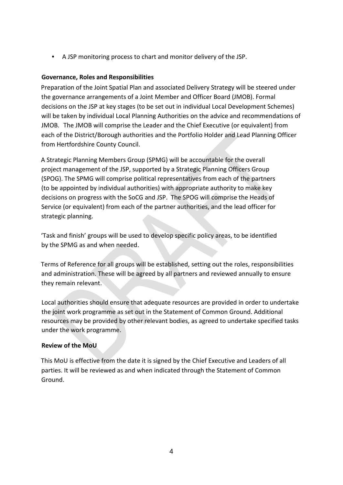• A JSP monitoring process to chart and monitor delivery of the JSP.

#### **Governance, Roles and Responsibilities**

Preparation of the Joint Spatial Plan and associated Delivery Strategy will be steered under the governance arrangements of a Joint Member and Officer Board (JMOB). Formal decisions on the JSP at key stages (to be set out in individual Local Development Schemes) will be taken by individual Local Planning Authorities on the advice and recommendations of JMOB. The JMOB will comprise the Leader and the Chief Executive (or equivalent) from each of the District/Borough authorities and the Portfolio Holder and Lead Planning Officer from Hertfordshire County Council.

A Strategic Planning Members Group (SPMG) will be accountable for the overall project management of the JSP, supported by a Strategic Planning Officers Group (SPOG). The SPMG will comprise political representatives from each of the partners (to be appointed by individual authorities) with appropriate authority to make key decisions on progress with the SoCG and JSP. The SPOG will comprise the Heads of Service (or equivalent) from each of the partner authorities, and the lead officer for strategic planning.

'Task and finish' groups will be used to develop specific policy areas, to be identified by the SPMG as and when needed.

Terms of Reference for all groups will be established, setting out the roles, responsibilities and administration. These will be agreed by all partners and reviewed annually to ensure they remain relevant.

Local authorities should ensure that adequate resources are provided in order to undertake the joint work programme as set out in the Statement of Common Ground. Additional resources may be provided by other relevant bodies, as agreed to undertake specified tasks under the work programme.

#### **Review of the MoU**

This MoU is effective from the date it is signed by the Chief Executive and Leaders of all parties. It will be reviewed as and when indicated through the Statement of Common Ground.